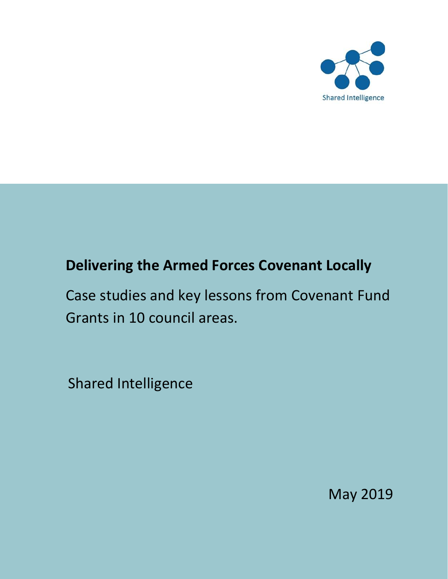

# **Delivering the Armed Forces Covenant Locally**

Case studies and key lessons from Covenant Fund Grants in 10 council areas.

Shared Intelligence

May 2019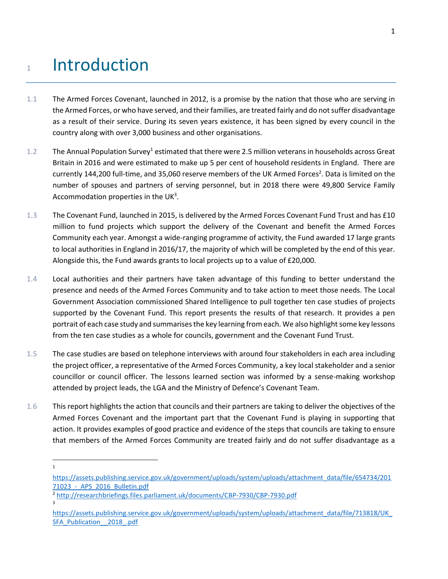# 1 Introduction

- 1.1 The Armed Forces Covenant, launched in 2012, is a promise by the nation that those who are serving in the Armed Forces, or who have served, and their families, are treated fairly and do not suffer disadvantage as a result of their service. During its seven years existence, it has been signed by every council in the country along with over 3,000 business and other organisations.
- 1.2 The Annual Population Survey<sup>1</sup> estimated that there were 2.5 million veterans in households across Great Britain in 2016 and were estimated to make up 5 per cent of household residents in England. There are currently 144,200 full-time, and 35,060 reserve members of the UK Armed Forces<sup>2</sup>. Data is limited on the number of spouses and partners of serving personnel, but in 2018 there were 49,800 Service Family Accommodation properties in the UK<sup>3</sup>.
- 1.3 The Covenant Fund, launched in 2015, is delivered by the Armed Forces Covenant Fund Trust and has £10 million to fund projects which support the delivery of the Covenant and benefit the Armed Forces Community each year. Amongst a wide-ranging programme of activity, the Fund awarded 17 large grants to local authorities in England in 2016/17, the majority of which will be completed by the end of this year. Alongside this, the Fund awards grants to local projects up to a value of £20,000.
- 1.4 Local authorities and their partners have taken advantage of this funding to better understand the presence and needs of the Armed Forces Community and to take action to meet those needs. The Local Government Association commissioned Shared Intelligence to pull together ten case studies of projects supported by the Covenant Fund. This report presents the results of that research. It provides a pen portrait of each case study and summarises the key learning from each. We also highlight some key lessons from the ten case studies as a whole for councils, government and the Covenant Fund Trust.
- 1.5 The case studies are based on telephone interviews with around four stakeholders in each area including the project officer, a representative of the Armed Forces Community, a key local stakeholder and a senior councillor or council officer. The lessons learned section was informed by a sense-making workshop attended by project leads, the LGA and the Ministry of Defence's Covenant Team.
- 1.6 This report highlights the action that councils and their partners are taking to deliver the objectives of the Armed Forces Covenant and the important part that the Covenant Fund is playing in supporting that action. It provides examples of good practice and evidence of the steps that councils are taking to ensure that members of the Armed Forces Community are treated fairly and do not suffer disadvantage as a
	- $\overline{\phantom{a}}$ 1

3

[https://assets.publishing.service.gov.uk/government/uploads/system/uploads/attachment\\_data/file/654734/201](https://assets.publishing.service.gov.uk/government/uploads/system/uploads/attachment_data/file/654734/20171023_-_APS_2016_Bulletin.pdf) [71023\\_-\\_APS\\_2016\\_Bulletin.pdf](https://assets.publishing.service.gov.uk/government/uploads/system/uploads/attachment_data/file/654734/20171023_-_APS_2016_Bulletin.pdf)

<sup>2</sup> <http://researchbriefings.files.parliament.uk/documents/CBP-7930/CBP-7930.pdf>

[https://assets.publishing.service.gov.uk/government/uploads/system/uploads/attachment\\_data/file/713818/UK\\_](https://assets.publishing.service.gov.uk/government/uploads/system/uploads/attachment_data/file/713818/UK_SFA_Publication__2018_.pdf) SFA\_Publication \_ 2018 .pdf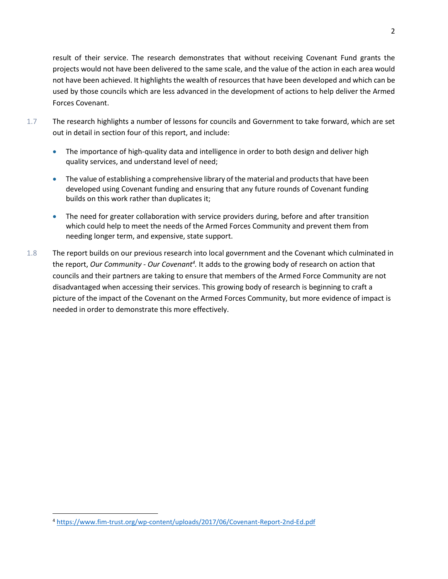result of their service. The research demonstrates that without receiving Covenant Fund grants the projects would not have been delivered to the same scale, and the value of the action in each area would not have been achieved. It highlights the wealth of resources that have been developed and which can be used by those councils which are less advanced in the development of actions to help deliver the Armed Forces Covenant.

- 1.7 The research highlights a number of lessons for councils and Government to take forward, which are set out in detail in section four of this report, and include:
	- The importance of high-quality data and intelligence in order to both design and deliver high quality services, and understand level of need;
	- The value of establishing a comprehensive library of the material and products that have been developed using Covenant funding and ensuring that any future rounds of Covenant funding builds on this work rather than duplicates it;
	- The need for greater collaboration with service providers during, before and after transition which could help to meet the needs of the Armed Forces Community and prevent them from needing longer term, and expensive, state support.
- 1.8 The report builds on our previous research into local government and the Covenant which culminated in the report, Our Community - Our Covenant<sup>4</sup>. It adds to the growing body of research on action that councils and their partners are taking to ensure that members of the Armed Force Community are not disadvantaged when accessing their services. This growing body of research is beginning to craft a picture of the impact of the Covenant on the Armed Forces Community, but more evidence of impact is needed in order to demonstrate this more effectively.

 $\overline{\phantom{a}}$ 

<sup>4</sup> <https://www.fim-trust.org/wp-content/uploads/2017/06/Covenant-Report-2nd-Ed.pdf>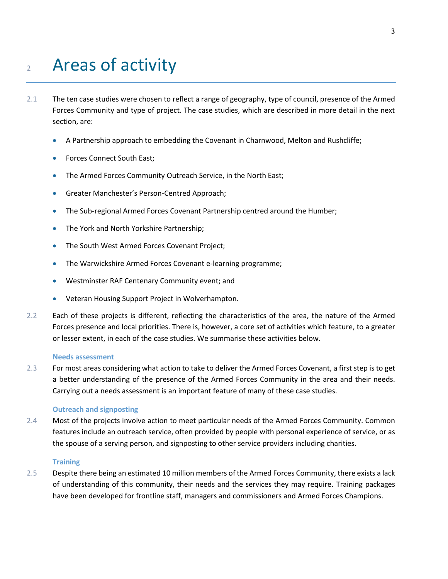# <sup>2</sup> Areas of activity

- 2.1 The ten case studies were chosen to reflect a range of geography, type of council, presence of the Armed Forces Community and type of project. The case studies, which are described in more detail in the next section, are:
	- A Partnership approach to embedding the Covenant in Charnwood, Melton and Rushcliffe;
	- Forces Connect South East;
	- The Armed Forces Community Outreach Service, in the North East;
	- Greater Manchester's Person-Centred Approach;
	- The Sub-regional Armed Forces Covenant Partnership centred around the Humber;
	- The York and North Yorkshire Partnership;
	- The South West Armed Forces Covenant Project;
	- The Warwickshire Armed Forces Covenant e-learning programme;
	- Westminster RAF Centenary Community event; and
	- Veteran Housing Support Project in Wolverhampton.
- 2.2 Each of these projects is different, reflecting the characteristics of the area, the nature of the Armed Forces presence and local priorities. There is, however, a core set of activities which feature, to a greater or lesser extent, in each of the case studies. We summarise these activities below.

#### **Needs assessment**

2.3 For most areas considering what action to take to deliver the Armed Forces Covenant, a first step is to get a better understanding of the presence of the Armed Forces Community in the area and their needs. Carrying out a needs assessment is an important feature of many of these case studies.

#### **Outreach and signposting**

2.4 Most of the projects involve action to meet particular needs of the Armed Forces Community. Common features include an outreach service, often provided by people with personal experience of service, or as the spouse of a serving person, and signposting to other service providers including charities.

#### **Training**

2.5 Despite there being an estimated 10 million members of the Armed Forces Community, there exists a lack of understanding of this community, their needs and the services they may require. Training packages have been developed for frontline staff, managers and commissioners and Armed Forces Champions.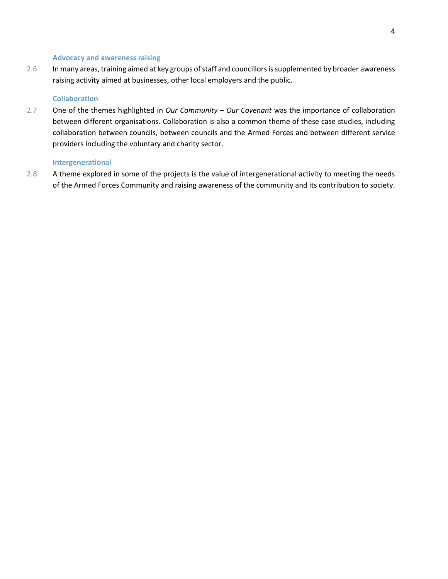#### **Advocacy and awareness raising**

2.6 In many areas, training aimed at key groups of staff and councillors is supplemented by broader awareness raising activity aimed at businesses, other local employers and the public.

#### **Collaboration**

2.7 One of the themes highlighted in *Our Community – Our Covenant* was the importance of collaboration between different organisations. Collaboration is also a common theme of these case studies, including collaboration between councils, between councils and the Armed Forces and between different service providers including the voluntary and charity sector.

#### **Intergenerational**

2.8 A theme explored in some of the projects is the value of intergenerational activity to meeting the needs of the Armed Forces Community and raising awareness of the community and its contribution to society.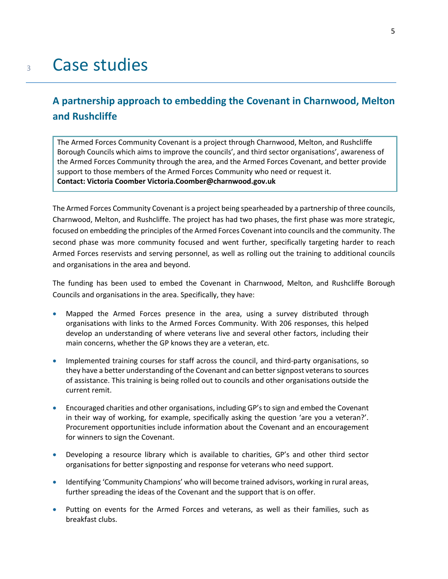# <sup>3</sup> Case studies

# **A partnership approach to embedding the Covenant in Charnwood, Melton and Rushcliffe**

The Armed Forces Community Covenant is a project through Charnwood, Melton, and Rushcliffe Borough Councils which aims to improve the councils', and third sector organisations', awareness of the Armed Forces Community through the area, and the Armed Forces Covenant, and better provide support to those members of the Armed Forces Community who need or request it. **3.2 Contact: Victoria Coomber Victoria.Coomber@charnwood.gov.uk**

The Armed Forces Community Covenant is a project being spearheaded by a partnership of three councils, Charnwood, Melton, and Rushcliffe. The project has had two phases, the first phase was more strategic, focused on embedding the principles of the Armed Forces Covenant into councils and the community. The second phase was more community focused and went further, specifically targeting harder to reach Armed Forces reservists and serving personnel, as well as rolling out the training to additional councils and organisations in the area and beyond.

The funding has been used to embed the Covenant in Charnwood, Melton, and Rushcliffe Borough Councils and organisations in the area. Specifically, they have:

- Mapped the Armed Forces presence in the area, using a survey distributed through organisations with links to the Armed Forces Community. With 206 responses, this helped develop an understanding of where veterans live and several other factors, including their main concerns, whether the GP knows they are a veteran, etc.
- Implemented training courses for staff across the council, and third-party organisations, so they have a better understanding of the Covenant and can better signpost veterans to sources of assistance. This training is being rolled out to councils and other organisations outside the current remit.
- Encouraged charities and other organisations, including GP's to sign and embed the Covenant in their way of working, for example, specifically asking the question 'are you a veteran?'. Procurement opportunities include information about the Covenant and an encouragement for winners to sign the Covenant.
- Developing a resource library which is available to charities, GP's and other third sector organisations for better signposting and response for veterans who need support.
- Identifying 'Community Champions' who will become trained advisors, working in rural areas, further spreading the ideas of the Covenant and the support that is on offer.
- Putting on events for the Armed Forces and veterans, as well as their families, such as breakfast clubs.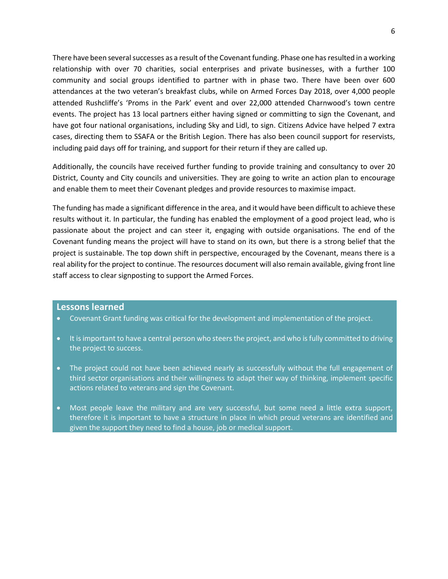There have been several successes as a result of the Covenantfunding. Phase one has resulted in a working relationship with over 70 charities, social enterprises and private businesses, with a further 100 community and social groups identified to partner with in phase two. There have been over 600 attendances at the two veteran's breakfast clubs, while on Armed Forces Day 2018, over 4,000 people attended Rushcliffe's 'Proms in the Park' event and over 22,000 attended Charnwood's town centre events. The project has 13 local partners either having signed or committing to sign the Covenant, and have got four national organisations, including Sky and Lidl, to sign. Citizens Advice have helped 7 extra cases, directing them to SSAFA or the British Legion. There has also been council support for reservists, including paid days off for training, and support for their return if they are called up.

Additionally, the councils have received further funding to provide training and consultancy to over 20 District, County and City councils and universities. They are going to write an action plan to encourage and enable them to meet their Covenant pledges and provide resources to maximise impact.

The funding has made a significant difference in the area, and it would have been difficult to achieve these results without it. In particular, the funding has enabled the employment of a good project lead, who is passionate about the project and can steer it, engaging with outside organisations. The end of the Covenant funding means the project will have to stand on its own, but there is a strong belief that the project is sustainable. The top down shift in perspective, encouraged by the Covenant, means there is a real ability for the project to continue. The resources document will also remain available, giving front line staff access to clear signposting to support the Armed Forces.

#### **Lessons learned**

- Covenant Grant funding was critical for the development and implementation of the project.
- It is important to have a central person who steers the project, and who is fully committed to driving the project to success.
- The project could not have been achieved nearly as successfully without the full engagement of third sector organisations and their willingness to adapt their way of thinking, implement specific actions related to veterans and sign the Covenant.
- Most people leave the military and are very successful, but some need a little extra support, therefore it is important to have a structure in place in which proud veterans are identified and given the support they need to find a house, job or medical support.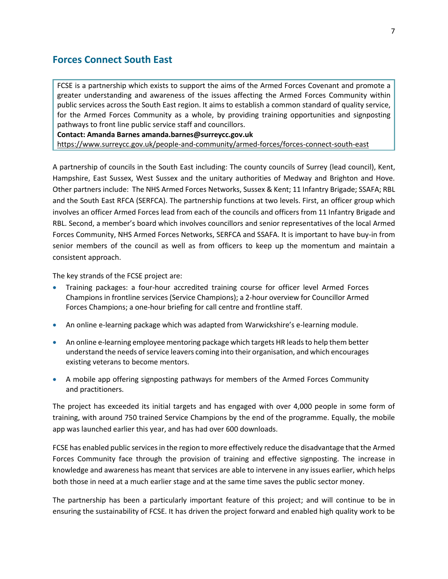# **Forces Connect South East**

FCSE is a partnership which exists to support the aims of the Armed Forces Covenant and promote a greater understanding and awareness of the issues affecting the Armed Forces Community within public services across the South East region. It aims to establish a common standard of quality service, for the Armed Forces Community as a whole, by providing training opportunities and signposting pathways to front line public service staff and councillors.

**Contact: Amanda Barnes amanda.barnes@surreycc.gov.uk**

<https://www.surreycc.gov.uk/people-and-community/armed-forces/forces-connect-south-east>

A partnership of councils in the South East including: The county councils of Surrey (lead council), Kent, Hampshire, East Sussex, West Sussex and the unitary authorities of Medway and Brighton and Hove. Other partners include: The NHS Armed Forces Networks, Sussex & Kent; 11 Infantry Brigade; SSAFA; RBL and the South East RFCA (SERFCA). The partnership functions at two levels. First, an officer group which involves an officer Armed Forces lead from each of the councils and officers from 11 Infantry Brigade and RBL. Second, a member's board which involves councillors and senior representatives of the local Armed Forces Community, NHS Armed Forces Networks, SERFCA and SSAFA. It is important to have buy-in from senior members of the council as well as from officers to keep up the momentum and maintain a consistent approach.

The key strands of the FCSE project are:

- Training packages: a four-hour accredited training course for officer level Armed Forces Champions in frontline services (Service Champions); a 2-hour overview for Councillor Armed Forces Champions; a one-hour briefing for call centre and frontline staff.
- An online e-learning package which was adapted from Warwickshire's e-learning module.
- An online e-learning employee mentoring package which targets HR leads to help them better understand the needs of service leavers coming into their organisation, and which encourages existing veterans to become mentors.
- A mobile app offering signposting pathways for members of the Armed Forces Community and practitioners.

The project has exceeded its initial targets and has engaged with over 4,000 people in some form of training, with around 750 trained Service Champions by the end of the programme. Equally, the mobile app was launched earlier this year, and has had over 600 downloads.

FCSE has enabled public services in the region to more effectively reduce the disadvantage that the Armed Forces Community face through the provision of training and effective signposting. The increase in knowledge and awareness has meant that services are able to intervene in any issues earlier, which helps both those in need at a much earlier stage and at the same time saves the public sector money.

The partnership has been a particularly important feature of this project; and will continue to be in ensuring the sustainability of FCSE. It has driven the project forward and enabled high quality work to be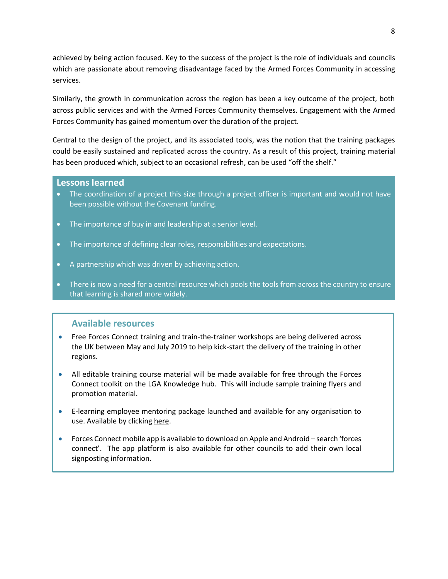achieved by being action focused. Key to the success of the project is the role of individuals and councils which are passionate about removing disadvantage faced by the Armed Forces Community in accessing services.

Similarly, the growth in communication across the region has been a key outcome of the project, both across public services and with the Armed Forces Community themselves. Engagement with the Armed Forces Community has gained momentum over the duration of the project.

Central to the design of the project, and its associated tools, was the notion that the training packages could be easily sustained and replicated across the country. As a result of this project, training material has been produced which, subject to an occasional refresh, can be used "off the shelf."

### **Lessons learned**

- The coordination of a project this size through a project officer is important and would not have been possible without the Covenant funding.
- The importance of buy in and leadership at a senior level.
- The importance of defining clear roles, responsibilities and expectations.
- A partnership which was driven by achieving action.
- There is now a need for a central resource which pools the tools from across the country to ensure that learning is shared more widely.

# • **Available resources**

- Free Forces Connect training and train-the-trainer workshops are being delivered across the UK between May and July 2019 to help kick-start the delivery of the training in other regions.
- All editable training course material will be made available for free through the Forces Connect toolkit on the LGA Knowledge hub. This will include sample training flyers and promotion material.
- E-learning employee mentoring package launched and available for any organisation to use. Available by clickin[g here.](https://rise.articulate.com/share/4wqx3HHfig4p-VO0L8cDCQFn71Z05En8)
- Forces Connect mobile app is available to download on Apple and Android search 'forces connect'. The app platform is also available for other councils to add their own local signposting information.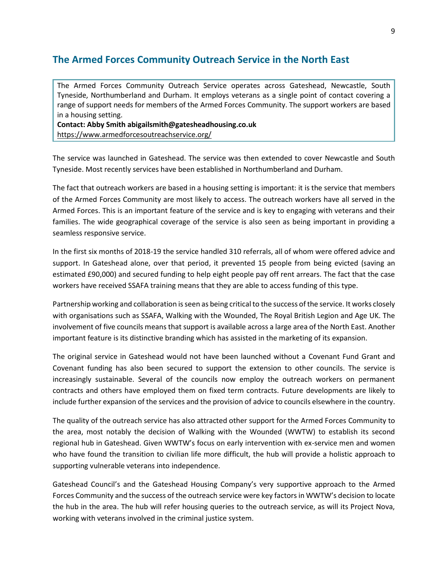# **The Armed Forces Community Outreach Service in the North East**

The Armed Forces Community Outreach Service operates across Gateshead, Newcastle, South Tyneside, Northumberland and Durham. It employs veterans as a single point of contact covering a range of support needs for members of the Armed Forces Community. The support workers are based in a housing setting.

**Contact: Abby Smith abigailsmith@gatesheadhousing.co.uk** <https://www.armedforcesoutreachservice.org/>

The service was launched in Gateshead. The service was then extended to cover Newcastle and South Tyneside. Most recently services have been established in Northumberland and Durham.

The fact that outreach workers are based in a housing setting is important: it is the service that members of the Armed Forces Community are most likely to access. The outreach workers have all served in the Armed Forces. This is an important feature of the service and is key to engaging with veterans and their families. The wide geographical coverage of the service is also seen as being important in providing a seamless responsive service.

In the first six months of 2018-19 the service handled 310 referrals, all of whom were offered advice and support. In Gateshead alone, over that period, it prevented 15 people from being evicted (saving an estimated £90,000) and secured funding to help eight people pay off rent arrears. The fact that the case workers have received SSAFA training means that they are able to access funding of this type.

Partnership working and collaboration is seen as being critical to the success of the service. It works closely with organisations such as SSAFA, Walking with the Wounded, The Royal British Legion and Age UK. The involvement of five councils means that support is available across a large area of the North East. Another important feature is its distinctive branding which has assisted in the marketing of its expansion.

The original service in Gateshead would not have been launched without a Covenant Fund Grant and Covenant funding has also been secured to support the extension to other councils. The service is increasingly sustainable. Several of the councils now employ the outreach workers on permanent contracts and others have employed them on fixed term contracts. Future developments are likely to include further expansion of the services and the provision of advice to councils elsewhere in the country.

The quality of the outreach service has also attracted other support for the Armed Forces Community to the area, most notably the decision of Walking with the Wounded (WWTW) to establish its second regional hub in Gateshead. Given WWTW's focus on early intervention with ex-service men and women who have found the transition to civilian life more difficult, the hub will provide a holistic approach to supporting vulnerable veterans into independence.

Gateshead Council's and the Gateshead Housing Company's very supportive approach to the Armed Forces Community and the success of the outreach service were key factors in WWTW's decision to locate the hub in the area. The hub will refer housing queries to the outreach service, as will its Project Nova, working with veterans involved in the criminal justice system.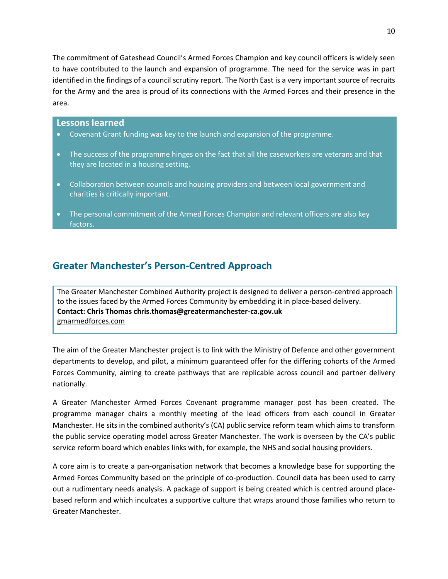The commitment of Gateshead Council's Armed Forces Champion and key council officers is widely seen to have contributed to the launch and expansion of programme. The need for the service was in part identified in the findings of a council scrutiny report. The North East is a very important source of recruits for the Army and the area is proud of its connections with the Armed Forces and their presence in the area.

#### **Lessons learned**

- Covenant Grant funding was key to the launch and expansion of the programme.
- The success of the programme hinges on the fact that all the caseworkers are veterans and that they are located in a housing setting.
- Collaboration between councils and housing providers and between local government and charities is critically important.
- The personal commitment of the Armed Forces Champion and relevant officers are also key factors.

# **Greater Manchester's Person-Centred Approach**

The Greater Manchester Combined Authority project is designed to deliver a person-centred approach to the issues faced by the Armed Forces Community by embedding it in place-based delivery. **Contact: Chris Thomas chris.thomas@greatermanchester-ca.gov.uk** [gmarmedforces.com](http://www.gmarmedforces.com/)

The aim of the Greater Manchester project is to link with the Ministry of Defence and other government departments to develop, and pilot, a minimum guaranteed offer for the differing cohorts of the Armed Forces Community, aiming to create pathways that are replicable across council and partner delivery nationally.

A Greater Manchester Armed Forces Covenant programme manager post has been created. The programme manager chairs a monthly meeting of the lead officers from each council in Greater Manchester. He sits in the combined authority's (CA) public service reform team which aims to transform the public service operating model across Greater Manchester. The work is overseen by the CA's public service reform board which enables links with, for example, the NHS and social housing providers.

A core aim is to create a pan-organisation network that becomes a knowledge base for supporting the Armed Forces Community based on the principle of co-production. Council data has been used to carry out a rudimentary needs analysis. A package of support is being created which is centred around placebased reform and which inculcates a supportive culture that wraps around those families who return to Greater Manchester.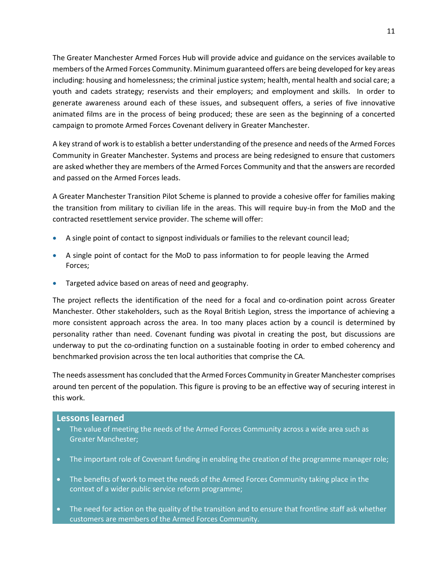The Greater Manchester Armed Forces Hub will provide advice and guidance on the services available to members of the Armed Forces Community. Minimum guaranteed offers are being developed for key areas including: housing and homelessness; the criminal justice system; health, mental health and social care; a youth and cadets strategy; reservists and their employers; and employment and skills. In order to generate awareness around each of these issues, and subsequent offers, a series of five innovative animated films are in the process of being produced; these are seen as the beginning of a concerted campaign to promote Armed Forces Covenant delivery in Greater Manchester.

A key strand of work is to establish a better understanding of the presence and needs of the Armed Forces Community in Greater Manchester. Systems and process are being redesigned to ensure that customers are asked whether they are members of the Armed Forces Community and that the answers are recorded and passed on the Armed Forces leads.

A Greater Manchester Transition Pilot Scheme is planned to provide a cohesive offer for families making the transition from military to civilian life in the areas. This will require buy-in from the MoD and the contracted resettlement service provider. The scheme will offer:

- A single point of contact to signpost individuals or families to the relevant council lead;
- A single point of contact for the MoD to pass information to for people leaving the Armed Forces;
- Targeted advice based on areas of need and geography.

The project reflects the identification of the need for a focal and co-ordination point across Greater Manchester. Other stakeholders, such as the Royal British Legion, stress the importance of achieving a more consistent approach across the area. In too many places action by a council is determined by personality rather than need. Covenant funding was pivotal in creating the post, but discussions are underway to put the co-ordinating function on a sustainable footing in order to embed coherency and benchmarked provision across the ten local authorities that comprise the CA.

The needs assessment has concluded that the Armed Forces Community in Greater Manchester comprises around ten percent of the population. This figure is proving to be an effective way of securing interest in this work.

### **Lessons learned**

- The value of meeting the needs of the Armed Forces Community across a wide area such as Greater Manchester;
- The important role of Covenant funding in enabling the creation of the programme manager role;
- The benefits of work to meet the needs of the Armed Forces Community taking place in the context of a wider public service reform programme;
- The need for action on the quality of the transition and to ensure that frontline staff ask whether customers are members of the Armed Forces Community.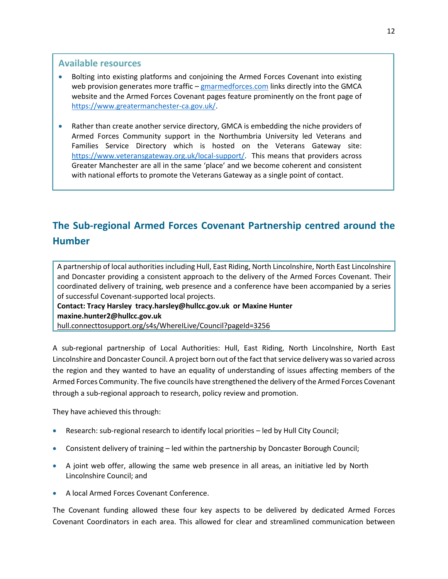### **Available resources**

- Bolting into existing platforms and conjoining the Armed Forces Covenant into existing web provision generates more traffic – [gmarmedforces.com](http://www.gmarmedforces.com/) links directly into the GMCA website and the Armed Forces Covenant pages feature prominently on the front page of [https://www.greatermanchester-ca.gov.uk/.](https://www.greatermanchester-ca.gov.uk/)
- Rather than create another service directory, GMCA is embedding the niche providers of Armed Forces Community support in the Northumbria University led Veterans and Families Service Directory which is hosted on the Veterans Gateway site: [https://www.veteransgateway.org.uk/local-support/.](https://www.veteransgateway.org.uk/local-support/) This means that providers across Greater Manchester are all in the same 'place' and we become coherent and consistent with national efforts to promote the Veterans Gateway as a single point of contact.

# **The Sub-regional Armed Forces Covenant Partnership centred around the Humber**

A partnership of local authorities including Hull, East Riding, North Lincolnshire, North East Lincolnshire and Doncaster providing a consistent approach to the delivery of the Armed Forces Covenant. Their coordinated delivery of training, web presence and a conference have been accompanied by a series of successful Covenant-supported local projects.

**Contact: Tracy Harsley [tracy.harsley@hullcc.gov.uk](mailto:tracy.harsley@hullcc.gov.uk) or Maxine Hunter [maxine.hunter2@hullcc.gov.uk](mailto:maxine.hunter2@hullcc.gov.uk)** [hull.connecttosupport.org/s4s/WhereILive/Council?pageId=3256](https://hull.connecttosupport.org/s4s/WhereILive/Council?pageId=3256)

A sub-regional partnership of Local Authorities: Hull, East Riding, North Lincolnshire, North East Lincolnshire and Doncaster Council. A project born out of the fact that service delivery was so varied across the region and they wanted to have an equality of understanding of issues affecting members of the Armed Forces Community. The five councils have strengthened the delivery of the Armed Forces Covenant through a sub-regional approach to research, policy review and promotion.

They have achieved this through:

- Research: sub-regional research to identify local priorities led by Hull City Council;
- Consistent delivery of training led within the partnership by Doncaster Borough Council;
- A joint web offer, allowing the same web presence in all areas, an initiative led by North Lincolnshire Council; and
- A local Armed Forces Covenant Conference.

The Covenant funding allowed these four key aspects to be delivered by dedicated Armed Forces Covenant Coordinators in each area. This allowed for clear and streamlined communication between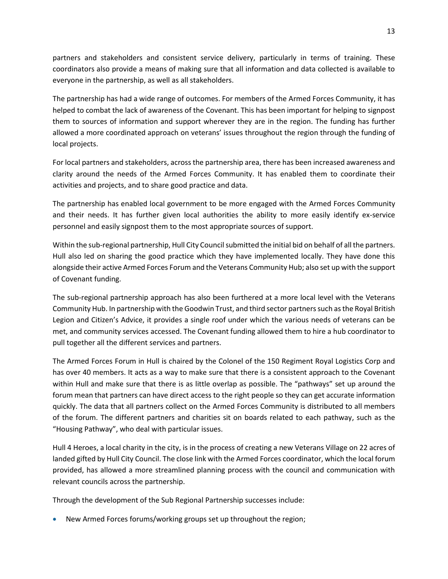partners and stakeholders and consistent service delivery, particularly in terms of training. These coordinators also provide a means of making sure that all information and data collected is available to everyone in the partnership, as well as all stakeholders.

The partnership has had a wide range of outcomes. For members of the Armed Forces Community, it has helped to combat the lack of awareness of the Covenant. This has been important for helping to signpost them to sources of information and support wherever they are in the region. The funding has further allowed a more coordinated approach on veterans' issues throughout the region through the funding of local projects.

For local partners and stakeholders, across the partnership area, there has been increased awareness and clarity around the needs of the Armed Forces Community. It has enabled them to coordinate their activities and projects, and to share good practice and data.

The partnership has enabled local government to be more engaged with the Armed Forces Community and their needs. It has further given local authorities the ability to more easily identify ex-service personnel and easily signpost them to the most appropriate sources of support.

Within the sub-regional partnership, Hull City Council submitted the initial bid on behalf of all the partners. Hull also led on sharing the good practice which they have implemented locally. They have done this alongside their active Armed Forces Forum and the Veterans Community Hub; also set up with the support of Covenant funding.

The sub-regional partnership approach has also been furthered at a more local level with the Veterans Community Hub. In partnership with the Goodwin Trust, and third sector partners such as the Royal British Legion and Citizen's Advice, it provides a single roof under which the various needs of veterans can be met, and community services accessed. The Covenant funding allowed them to hire a hub coordinator to pull together all the different services and partners.

The Armed Forces Forum in Hull is chaired by the Colonel of the 150 Regiment Royal Logistics Corp and has over 40 members. It acts as a way to make sure that there is a consistent approach to the Covenant within Hull and make sure that there is as little overlap as possible. The "pathways" set up around the forum mean that partners can have direct access to the right people so they can get accurate information quickly. The data that all partners collect on the Armed Forces Community is distributed to all members of the forum. The different partners and charities sit on boards related to each pathway, such as the "Housing Pathway", who deal with particular issues.

Hull 4 Heroes, a local charity in the city, is in the process of creating a new Veterans Village on 22 acres of landed gifted by Hull City Council. The close link with the Armed Forces coordinator, which the local forum provided, has allowed a more streamlined planning process with the council and communication with relevant councils across the partnership.

Through the development of the Sub Regional Partnership successes include:

• New Armed Forces forums/working groups set up throughout the region;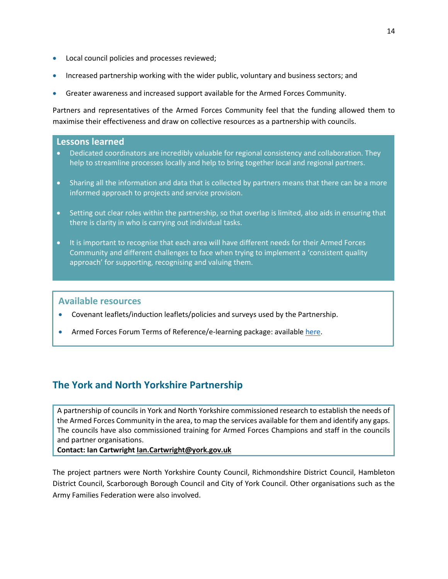- Local council policies and processes reviewed;
- Increased partnership working with the wider public, voluntary and business sectors; and
- Greater awareness and increased support available for the Armed Forces Community.

Partners and representatives of the Armed Forces Community feel that the funding allowed them to maximise their effectiveness and draw on collective resources as a partnership with councils.

### **Lessons learned**

- Dedicated coordinators are incredibly valuable for regional consistency and collaboration. They help to streamline processes locally and help to bring together local and regional partners.
- Sharing all the information and data that is collected by partners means that there can be a more informed approach to projects and service provision.
- Setting out clear roles within the partnership, so that overlap is limited, also aids in ensuring that there is clarity in who is carrying out individual tasks.
- It is important to recognise that each area will have different needs for their Armed Forces Community and different challenges to face when trying to implement a 'consistent quality approach' for supporting, recognising and valuing them.

#### **Available resources**

- Covenant leaflets/induction leaflets/policies and surveys used by the Partnership.
- Armed Forces Forum Terms of Reference/e-learning package: availabl[e here.](http://www.hull.gov.uk/sites/hull/files/media/Editor%20-%20Adult%20social%20care/Armed%20Forces%20and%20Armed%20Forces%20Community%20leaflet.pdf)

# **The York and North Yorkshire Partnership**

A partnership of councils in York and North Yorkshire commissioned research to establish the needs of the Armed Forces Community in the area, to map the services available for them and identify any gaps. The councils have also commissioned training for Armed Forces Champions and staff in the councils and partner organisations.

**Contact: Ian Cartwright [Ian.Cartwright@york.gov.uk](mailto:Ian.Cartwright@york.gov.uk)**

The project partners were North Yorkshire County Council, Richmondshire District Council, Hambleton District Council, Scarborough Borough Council and City of York Council. Other organisations such as the Army Families Federation were also involved.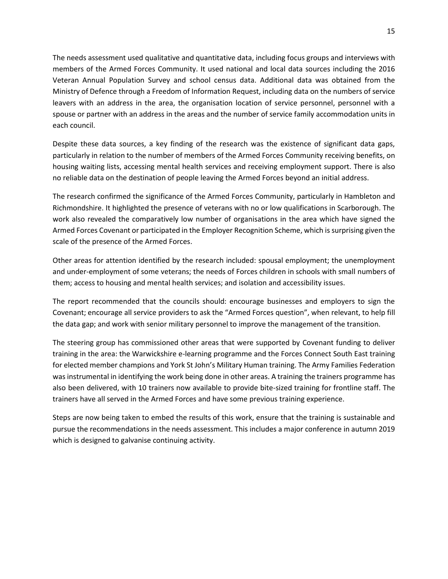The needs assessment used qualitative and quantitative data, including focus groups and interviews with members of the Armed Forces Community. It used national and local data sources including the 2016 Veteran Annual Population Survey and school census data. Additional data was obtained from the Ministry of Defence through a Freedom of Information Request, including data on the numbers of service leavers with an address in the area, the organisation location of service personnel, personnel with a spouse or partner with an address in the areas and the number of service family accommodation units in each council.

Despite these data sources, a key finding of the research was the existence of significant data gaps, particularly in relation to the number of members of the Armed Forces Community receiving benefits, on housing waiting lists, accessing mental health services and receiving employment support. There is also no reliable data on the destination of people leaving the Armed Forces beyond an initial address.

The research confirmed the significance of the Armed Forces Community, particularly in Hambleton and Richmondshire. It highlighted the presence of veterans with no or low qualifications in Scarborough. The work also revealed the comparatively low number of organisations in the area which have signed the Armed Forces Covenant or participated in the Employer Recognition Scheme, which is surprising given the scale of the presence of the Armed Forces.

Other areas for attention identified by the research included: spousal employment; the unemployment and under-employment of some veterans; the needs of Forces children in schools with small numbers of them; access to housing and mental health services; and isolation and accessibility issues.

The report recommended that the councils should: encourage businesses and employers to sign the Covenant; encourage all service providers to ask the "Armed Forces question", when relevant, to help fill the data gap; and work with senior military personnel to improve the management of the transition.

The steering group has commissioned other areas that were supported by Covenant funding to deliver training in the area: the Warwickshire e-learning programme and the Forces Connect South East training for elected member champions and York St John's Military Human training. The Army Families Federation was instrumental in identifying the work being done in other areas. A training the trainers programme has also been delivered, with 10 trainers now available to provide bite-sized training for frontline staff. The trainers have all served in the Armed Forces and have some previous training experience.

Steps are now being taken to embed the results of this work, ensure that the training is sustainable and pursue the recommendations in the needs assessment. This includes a major conference in autumn 2019 which is designed to galvanise continuing activity.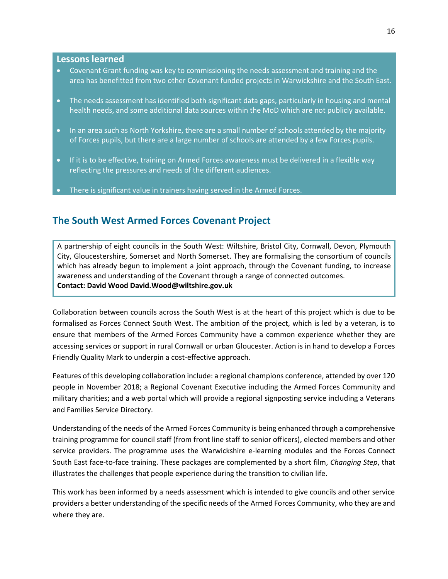#### **Lessons learned**

- Covenant Grant funding was key to commissioning the needs assessment and training and the area has benefitted from two other Covenant funded projects in Warwickshire and the South East.
- The needs assessment has identified both significant data gaps, particularly in housing and mental health needs, and some additional data sources within the MoD which are not publicly available.
- In an area such as North Yorkshire, there are a small number of schools attended by the majority of Forces pupils, but there are a large number of schools are attended by a few Forces pupils.
- If it is to be effective, training on Armed Forces awareness must be delivered in a flexible way reflecting the pressures and needs of the different audiences.
- There is significant value in trainers having served in the Armed Forces.

# **The South West Armed Forces Covenant Project**

A partnership of eight councils in the South West: Wiltshire, Bristol City, Cornwall, Devon, Plymouth City, Gloucestershire, Somerset and North Somerset. They are formalising the consortium of councils which has already begun to implement a joint approach, through the Covenant funding, to increase awareness and understanding of the Covenant through a range of connected outcomes. **Contact: David Wood [David.Wood@wiltshire.gov.uk](mailto:David.Wood@wiltshire.gov.uk)**

Collaboration between councils across the South West is at the heart of this project which is due to be formalised as Forces Connect South West. The ambition of the project, which is led by a veteran, is to ensure that members of the Armed Forces Community have a common experience whether they are accessing services or support in rural Cornwall or urban Gloucester. Action is in hand to develop a Forces Friendly Quality Mark to underpin a cost-effective approach.

Features of this developing collaboration include: a regional champions conference, attended by over 120 people in November 2018; a Regional Covenant Executive including the Armed Forces Community and military charities; and a web portal which will provide a regional signposting service including a Veterans and Families Service Directory.

Understanding of the needs of the Armed Forces Community is being enhanced through a comprehensive training programme for council staff (from front line staff to senior officers), elected members and other service providers. The programme uses the Warwickshire e-learning modules and the Forces Connect South East face-to-face training. These packages are complemented by a short film, *Changing Step*, that illustrates the challenges that people experience during the transition to civilian life.

This work has been informed by a needs assessment which is intended to give councils and other service providers a better understanding of the specific needs of the Armed Forces Community, who they are and where they are.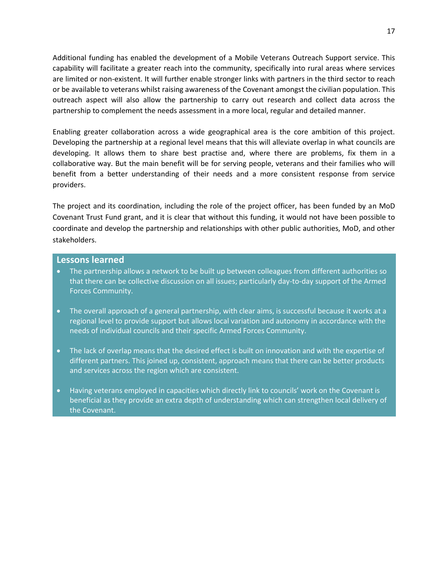Additional funding has enabled the development of a Mobile Veterans Outreach Support service. This capability will facilitate a greater reach into the community, specifically into rural areas where services are limited or non-existent. It will further enable stronger links with partners in the third sector to reach or be available to veterans whilst raising awareness of the Covenant amongst the civilian population. This outreach aspect will also allow the partnership to carry out research and collect data across the partnership to complement the needs assessment in a more local, regular and detailed manner.

Enabling greater collaboration across a wide geographical area is the core ambition of this project. Developing the partnership at a regional level means that this will alleviate overlap in what councils are developing. It allows them to share best practise and, where there are problems, fix them in a collaborative way. But the main benefit will be for serving people, veterans and their families who will benefit from a better understanding of their needs and a more consistent response from service providers.

The project and its coordination, including the role of the project officer, has been funded by an MoD Covenant Trust Fund grant, and it is clear that without this funding, it would not have been possible to coordinate and develop the partnership and relationships with other public authorities, MoD, and other stakeholders.

#### **Lessons learned**

- The partnership allows a network to be built up between colleagues from different authorities so that there can be collective discussion on all issues; particularly day-to-day support of the Armed Forces Community.
- The overall approach of a general partnership, with clear aims, is successful because it works at a regional level to provide support but allows local variation and autonomy in accordance with the needs of individual councils and their specific Armed Forces Community.
- The lack of overlap means that the desired effect is built on innovation and with the expertise of different partners. This joined up, consistent, approach means that there can be better products and services across the region which are consistent.
- Having veterans employed in capacities which directly link to councils' work on the Covenant is beneficial as they provide an extra depth of understanding which can strengthen local delivery of the Covenant.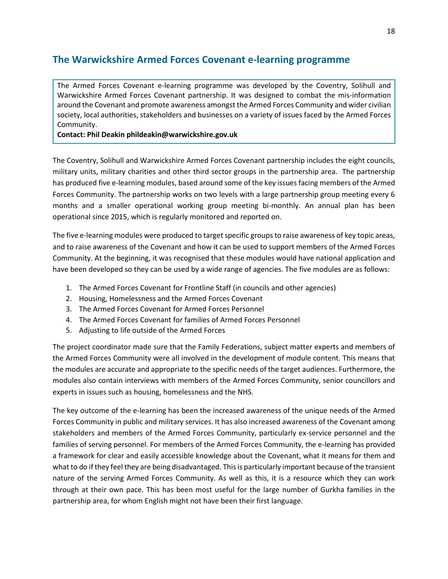# **The Warwickshire Armed Forces Covenant e-learning programme**

The Armed Forces Covenant e-learning programme was developed by the Coventry, Solihull and Warwickshire Armed Forces Covenant partnership. It was designed to combat the mis-information around the Covenant and promote awareness amongst the Armed Forces Community and wider civilian society, local authorities, stakeholders and businesses on a variety of issues faced by the Armed Forces Community.

#### **Contact: Phil Deakin phildeakin@warwickshire.gov.uk**

The Coventry, Solihull and Warwickshire Armed Forces Covenant partnership includes the eight councils, military units, military charities and other third sector groups in the partnership area. The partnership has produced five e-learning modules, based around some of the key issues facing members of the Armed Forces Community. The partnership works on two levels with a large partnership group meeting every 6 months and a smaller operational working group meeting bi-monthly. An annual plan has been operational since 2015, which is regularly monitored and reported on.

The five e-learning modules were produced to target specific groups to raise awareness of key topic areas, and to raise awareness of the Covenant and how it can be used to support members of the Armed Forces Community. At the beginning, it was recognised that these modules would have national application and have been developed so they can be used by a wide range of agencies. The five modules are as follows:

- 1. The Armed Forces Covenant for Frontline Staff (in councils and other agencies)
- 2. Housing, Homelessness and the Armed Forces Covenant
- 3. The Armed Forces Covenant for Armed Forces Personnel
- 4. The Armed Forces Covenant for families of Armed Forces Personnel
- 5. Adjusting to life outside of the Armed Forces

The project coordinator made sure that the Family Federations, subject matter experts and members of the Armed Forces Community were all involved in the development of module content. This means that the modules are accurate and appropriate to the specific needs of the target audiences. Furthermore, the modules also contain interviews with members of the Armed Forces Community, senior councillors and experts in issues such as housing, homelessness and the NHS.

The key outcome of the e-learning has been the increased awareness of the unique needs of the Armed Forces Community in public and military services. It has also increased awareness of the Covenant among stakeholders and members of the Armed Forces Community, particularly ex-service personnel and the families of serving personnel. For members of the Armed Forces Community, the e-learning has provided a framework for clear and easily accessible knowledge about the Covenant, what it means for them and what to do if they feel they are being disadvantaged. This is particularly important because of the transient nature of the serving Armed Forces Community. As well as this, it is a resource which they can work through at their own pace. This has been most useful for the large number of Gurkha families in the partnership area, for whom English might not have been their first language.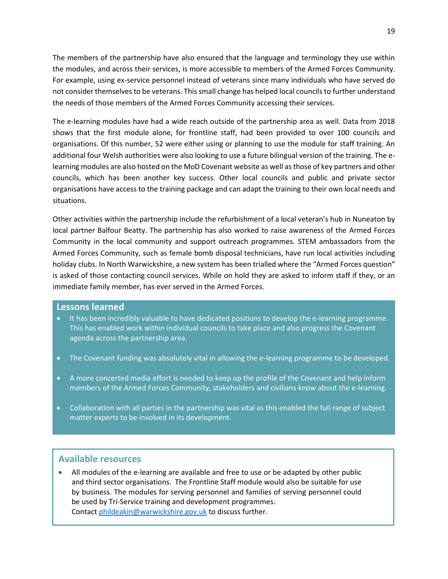The members of the partnership have also ensured that the language and terminology they use within the modules, and across their services, is more accessible to members of the Armed Forces Community. For example, using ex-service personnel instead of veterans since many individuals who have served do not consider themselves to be veterans. This small change has helped local councils to further understand the needs of those members of the Armed Forces Community accessing their services.

The e-learning modules have had a wide reach outside of the partnership area as well. Data from 2018 shows that the first module alone, for frontline staff, had been provided to over 100 councils and organisations. Of this number, 52 were either using or planning to use the module for staff training. An additional four Welsh authorities were also looking to use a future bilingual version of the training. The elearning modules are also hosted on the MoD Covenant website as well as those of key partners and other councils, which has been another key success. Other local councils and public and private sector organisations have access to the training package and can adapt the training to their own local needs and situations.

Other activities within the partnership include the refurbishment of a local veteran's hub in Nuneaton by local partner Balfour Beatty. The partnership has also worked to raise awareness of the Armed Forces Community in the local community and support outreach programmes. STEM ambassadors from the Armed Forces Community, such as female bomb disposal technicians, have run local activities including holiday clubs. In North Warwickshire, a new system has been trialled where the "Armed Forces question" is asked of those contacting council services. While on hold they are asked to inform staff if they, or an immediate family member, has ever served in the Armed Forces.

#### **Lessons learned**

- It has been incredibly valuable to have dedicated positions to develop the e-learning programme. This has enabled work within individual councils to take place and also progress the Covenant agenda across the partnership area.
- The Covenant funding was absolutely vital in allowing the e-learning programme to be developed.
- A more concerted media effort is needed to keep up the profile of the Covenant and help inform members of the Armed Forces Community, stakeholders and civilians know about the e-learning.
- Collaboration with all parties in the partnership was vital as this enabled the full range of subject matter experts to be involved in its development.

### **Available resources**

• All modules of the e-learning are available and free to use or be adapted by other public and third sector organisations. The Frontline Staff module would also be suitable for use by business. The modules for serving personnel and families of serving personnel could be used by Tri-Service training and development programmes. Contact [phildeakin@warwickshire.gov.uk](mailto:phildeakin@warwickshire.gov.uk) to discuss further.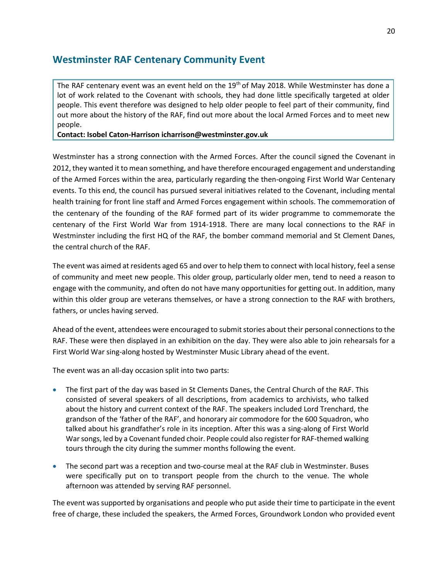# **Westminster RAF Centenary Community Event**

The RAF centenary event was an event held on the 19<sup>th</sup> of May 2018. While Westminster has done a lot of work related to the Covenant with schools, they had done little specifically targeted at older people. This event therefore was designed to help older people to feel part of their community, find out more about the history of the RAF, find out more about the local Armed Forces and to meet new people.

#### **Contact: Isobel Caton-Harriso[n icharrison@westminster.gov.uk](mailto:icharrison@westminster.gov.uk)**

Westminster has a strong connection with the Armed Forces. After the council signed the Covenant in 2012, they wanted it to mean something, and have therefore encouraged engagement and understanding of the Armed Forces within the area, particularly regarding the then-ongoing First World War Centenary events. To this end, the council has pursued several initiatives related to the Covenant, including mental health training for front line staff and Armed Forces engagement within schools. The commemoration of the centenary of the founding of the RAF formed part of its wider programme to commemorate the centenary of the First World War from 1914-1918. There are many local connections to the RAF in Westminster including the first HQ of the RAF, the bomber command memorial and St Clement Danes, the central church of the RAF.

The event was aimed at residents aged 65 and over to help them to connect with local history, feel a sense of community and meet new people. This older group, particularly older men, tend to need a reason to engage with the community, and often do not have many opportunities for getting out. In addition, many within this older group are veterans themselves, or have a strong connection to the RAF with brothers, fathers, or uncles having served.

Ahead of the event, attendees were encouraged to submit stories about their personal connections to the RAF. These were then displayed in an exhibition on the day. They were also able to join rehearsals for a First World War sing-along hosted by Westminster Music Library ahead of the event.

The event was an all-day occasion split into two parts:

- The first part of the day was based in St Clements Danes, the Central Church of the RAF. This consisted of several speakers of all descriptions, from academics to archivists, who talked about the history and current context of the RAF. The speakers included Lord Trenchard, the grandson of the 'father of the RAF', and honorary air commodore for the 600 Squadron, who talked about his grandfather's role in its inception. After this was a sing-along of First World War songs, led by a Covenant funded choir. People could also register for RAF-themed walking tours through the city during the summer months following the event.
- The second part was a reception and two-course meal at the RAF club in Westminster. Buses were specifically put on to transport people from the church to the venue. The whole afternoon was attended by serving RAF personnel.

The event was supported by organisations and people who put aside their time to participate in the event free of charge, these included the speakers, the Armed Forces, Groundwork London who provided event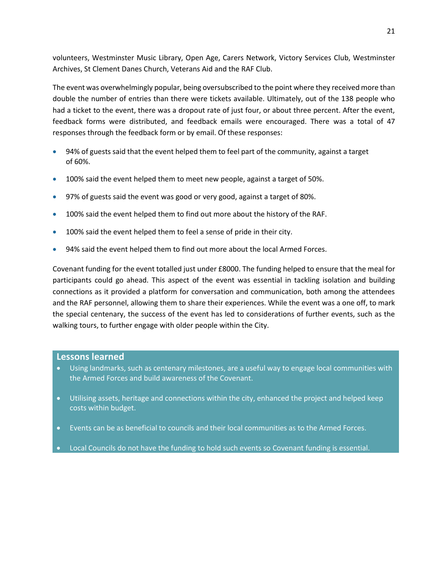volunteers, Westminster Music Library, Open Age, Carers Network, Victory Services Club, Westminster Archives, St Clement Danes Church, Veterans Aid and the RAF Club.

The event was overwhelmingly popular, being oversubscribed to the point where they received more than double the number of entries than there were tickets available. Ultimately, out of the 138 people who had a ticket to the event, there was a dropout rate of just four, or about three percent. After the event, feedback forms were distributed, and feedback emails were encouraged. There was a total of 47 responses through the feedback form or by email. Of these responses:

- 94% of guests said that the event helped them to feel part of the community, against a target of 60%.
- 100% said the event helped them to meet new people, against a target of 50%.
- 97% of guests said the event was good or very good, against a target of 80%.
- 100% said the event helped them to find out more about the history of the RAF.
- 100% said the event helped them to feel a sense of pride in their city.
- 94% said the event helped them to find out more about the local Armed Forces.

Covenant funding for the event totalled just under £8000. The funding helped to ensure that the meal for participants could go ahead. This aspect of the event was essential in tackling isolation and building connections as it provided a platform for conversation and communication, both among the attendees and the RAF personnel, allowing them to share their experiences. While the event was a one off, to mark the special centenary, the success of the event has led to considerations of further events, such as the walking tours, to further engage with older people within the City.

### **Lessons learned**

- Using landmarks, such as centenary milestones, are a useful way to engage local communities with the Armed Forces and build awareness of the Covenant.
- Utilising assets, heritage and connections within the city, enhanced the project and helped keep costs within budget.
- Events can be as beneficial to councils and their local communities as to the Armed Forces.
- Local Councils do not have the funding to hold such events so Covenant funding is essential.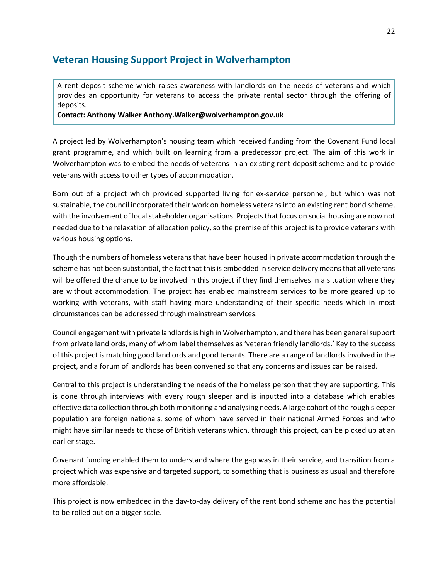# **Veteran Housing Support Project in Wolverhampton**

A rent deposit scheme which raises awareness with landlords on the needs of veterans and which provides an opportunity for veterans to access the private rental sector through the offering of deposits.

**Contact: Anthony Walker [Anthony.Walker@wolverhampton.gov.uk](mailto:Anthony.Walker@wolverhampton.gov.uk)**

A project led by Wolverhampton's housing team which received funding from the Covenant Fund local grant programme, and which built on learning from a predecessor project. The aim of this work in Wolverhampton was to embed the needs of veterans in an existing rent deposit scheme and to provide veterans with access to other types of accommodation.

Born out of a project which provided supported living for ex-service personnel, but which was not sustainable, the council incorporated their work on homeless veterans into an existing rent bond scheme, with the involvement of local stakeholder organisations. Projects that focus on social housing are now not needed due to the relaxation of allocation policy, so the premise of this project is to provide veterans with various housing options.

Though the numbers of homeless veterans that have been housed in private accommodation through the scheme has not been substantial, the fact that this is embedded in service delivery means that all veterans will be offered the chance to be involved in this project if they find themselves in a situation where they are without accommodation. The project has enabled mainstream services to be more geared up to working with veterans, with staff having more understanding of their specific needs which in most circumstances can be addressed through mainstream services.

Council engagement with private landlords is high in Wolverhampton, and there has been general support from private landlords, many of whom label themselves as 'veteran friendly landlords.' Key to the success of this project is matching good landlords and good tenants. There are a range of landlords involved in the project, and a forum of landlords has been convened so that any concerns and issues can be raised.

Central to this project is understanding the needs of the homeless person that they are supporting. This is done through interviews with every rough sleeper and is inputted into a database which enables effective data collection through both monitoring and analysing needs. A large cohort of the rough sleeper population are foreign nationals, some of whom have served in their national Armed Forces and who might have similar needs to those of British veterans which, through this project, can be picked up at an earlier stage.

Covenant funding enabled them to understand where the gap was in their service, and transition from a project which was expensive and targeted support, to something that is business as usual and therefore more affordable.

This project is now embedded in the day-to-day delivery of the rent bond scheme and has the potential to be rolled out on a bigger scale.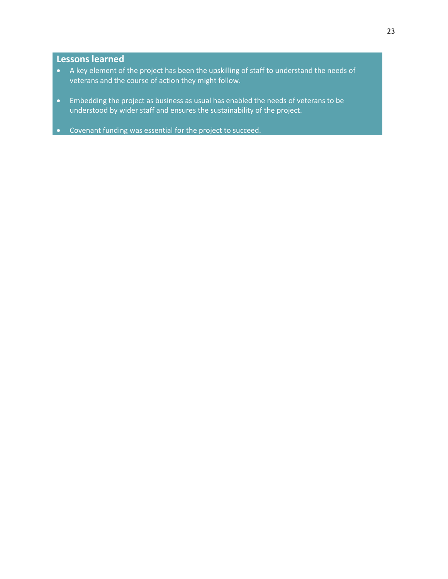### **Lessons learned**

- A key element of the project has been the upskilling of staff to understand the needs of veterans and the course of action they might follow.
- Embedding the project as business as usual has enabled the needs of veterans to be understood by wider staff and ensures the sustainability of the project.
- Covenant funding was essential for the project to succeed.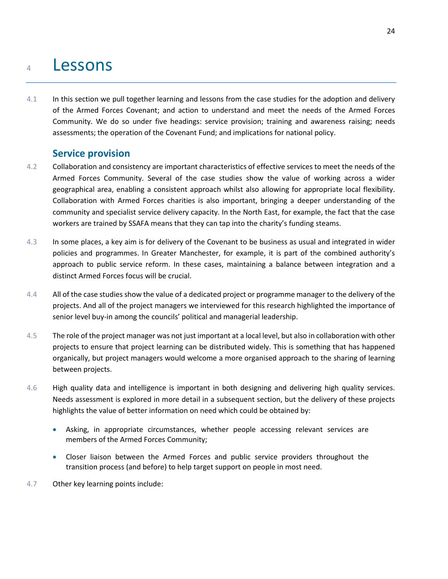# <sup>4</sup> Lessons

4.1 In this section we pull together learning and lessons from the case studies for the adoption and delivery of the Armed Forces Covenant; and action to understand and meet the needs of the Armed Forces Community. We do so under five headings: service provision; training and awareness raising; needs assessments; the operation of the Covenant Fund; and implications for national policy.

# **Service provision**

- 4.2 Collaboration and consistency are important characteristics of effective services to meet the needs of the Armed Forces Community. Several of the case studies show the value of working across a wider geographical area, enabling a consistent approach whilst also allowing for appropriate local flexibility. Collaboration with Armed Forces charities is also important, bringing a deeper understanding of the community and specialist service delivery capacity. In the North East, for example, the fact that the case workers are trained by SSAFA means that they can tap into the charity's funding steams.
- 4.3 In some places, a key aim is for delivery of the Covenant to be business as usual and integrated in wider policies and programmes. In Greater Manchester, for example, it is part of the combined authority's approach to public service reform. In these cases, maintaining a balance between integration and a distinct Armed Forces focus will be crucial.
- 4.4 All of the case studies show the value of a dedicated project or programme manager to the delivery of the projects. And all of the project managers we interviewed for this research highlighted the importance of senior level buy-in among the councils' political and managerial leadership.
- 4.5 The role of the project manager was not just important at a local level, but also in collaboration with other projects to ensure that project learning can be distributed widely. This is something that has happened organically, but project managers would welcome a more organised approach to the sharing of learning between projects.
- 4.6 High quality data and intelligence is important in both designing and delivering high quality services. Needs assessment is explored in more detail in a subsequent section, but the delivery of these projects highlights the value of better information on need which could be obtained by:
	- Asking, in appropriate circumstances, whether people accessing relevant services are members of the Armed Forces Community;
	- Closer liaison between the Armed Forces and public service providers throughout the transition process (and before) to help target support on people in most need.
- 4.7 Other key learning points include: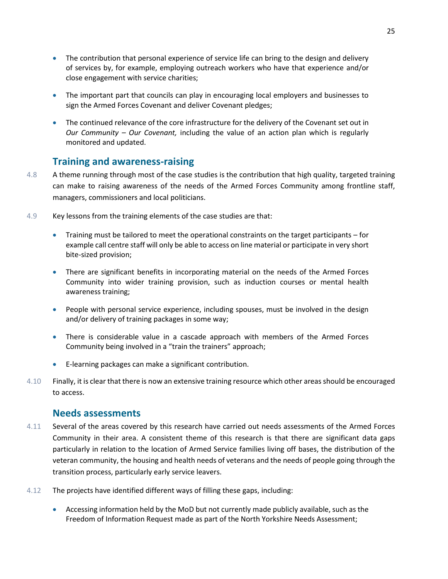- The contribution that personal experience of service life can bring to the design and delivery of services by, for example, employing outreach workers who have that experience and/or close engagement with service charities;
- The important part that councils can play in encouraging local employers and businesses to sign the Armed Forces Covenant and deliver Covenant pledges;
- The continued relevance of the core infrastructure for the delivery of the Covenant set out in *Our Community – Our Covenant,* including the value of an action plan which is regularly monitored and updated.

# **Training and awareness-raising**

- 4.8 A theme running through most of the case studies is the contribution that high quality, targeted training can make to raising awareness of the needs of the Armed Forces Community among frontline staff, managers, commissioners and local politicians.
- 4.9 Key lessons from the training elements of the case studies are that:
	- Training must be tailored to meet the operational constraints on the target participants for example call centre staff will only be able to access on line material or participate in very short bite-sized provision;
	- There are significant benefits in incorporating material on the needs of the Armed Forces Community into wider training provision, such as induction courses or mental health awareness training;
	- People with personal service experience, including spouses, must be involved in the design and/or delivery of training packages in some way;
	- There is considerable value in a cascade approach with members of the Armed Forces Community being involved in a "train the trainers" approach;
	- E-learning packages can make a significant contribution.
- 4.10 Finally, it is clear that there is now an extensive training resource which other areas should be encouraged to access.

# **Needs assessments**

- 4.11 Several of the areas covered by this research have carried out needs assessments of the Armed Forces Community in their area. A consistent theme of this research is that there are significant data gaps particularly in relation to the location of Armed Service families living off bases, the distribution of the veteran community, the housing and health needs of veterans and the needs of people going through the transition process, particularly early service leavers.
- 4.12 The projects have identified different ways of filling these gaps, including:
	- Accessing information held by the MoD but not currently made publicly available, such as the Freedom of Information Request made as part of the North Yorkshire Needs Assessment;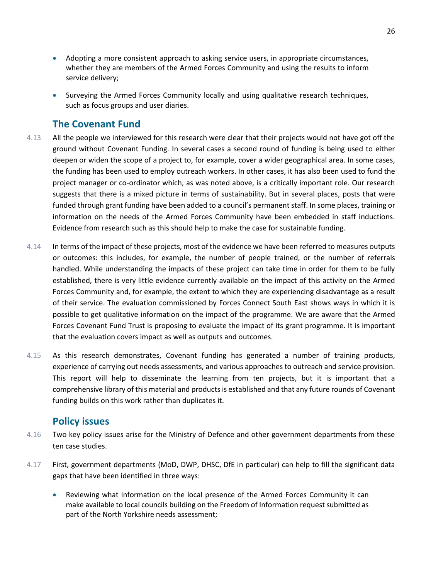- Adopting a more consistent approach to asking service users, in appropriate circumstances, whether they are members of the Armed Forces Community and using the results to inform service delivery;
- Surveying the Armed Forces Community locally and using qualitative research techniques, such as focus groups and user diaries.

# **The Covenant Fund**

- 4.13 All the people we interviewed for this research were clear that their projects would not have got off the ground without Covenant Funding. In several cases a second round of funding is being used to either deepen or widen the scope of a project to, for example, cover a wider geographical area. In some cases, the funding has been used to employ outreach workers. In other cases, it has also been used to fund the project manager or co-ordinator which, as was noted above, is a critically important role. Our research suggests that there is a mixed picture in terms of sustainability. But in several places, posts that were funded through grant funding have been added to a council's permanent staff. In some places, training or information on the needs of the Armed Forces Community have been embedded in staff inductions. Evidence from research such as this should help to make the case for sustainable funding.
- 4.14 In terms of the impact of these projects, most of the evidence we have been referred to measures outputs or outcomes: this includes, for example, the number of people trained, or the number of referrals handled. While understanding the impacts of these project can take time in order for them to be fully established, there is very little evidence currently available on the impact of this activity on the Armed Forces Community and, for example, the extent to which they are experiencing disadvantage as a result of their service. The evaluation commissioned by Forces Connect South East shows ways in which it is possible to get qualitative information on the impact of the programme. We are aware that the Armed Forces Covenant Fund Trust is proposing to evaluate the impact of its grant programme. It is important that the evaluation covers impact as well as outputs and outcomes.
- 4.15 As this research demonstrates, Covenant funding has generated a number of training products, experience of carrying out needs assessments, and various approaches to outreach and service provision. This report will help to disseminate the learning from ten projects, but it is important that a comprehensive library of this material and products is established and that any future rounds of Covenant funding builds on this work rather than duplicates it.

# **Policy issues**

- 4.16 Two key policy issues arise for the Ministry of Defence and other government departments from these ten case studies.
- 4.17 First, government departments (MoD, DWP, DHSC, DfE in particular) can help to fill the significant data gaps that have been identified in three ways:
	- Reviewing what information on the local presence of the Armed Forces Community it can make available to local councils building on the Freedom of Information request submitted as part of the North Yorkshire needs assessment;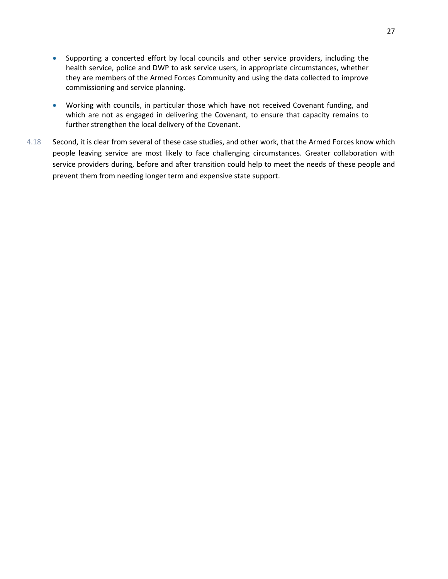- Supporting a concerted effort by local councils and other service providers, including the health service, police and DWP to ask service users, in appropriate circumstances, whether they are members of the Armed Forces Community and using the data collected to improve commissioning and service planning.
- Working with councils, in particular those which have not received Covenant funding, and which are not as engaged in delivering the Covenant, to ensure that capacity remains to further strengthen the local delivery of the Covenant.
- 4.18 Second, it is clear from several of these case studies, and other work, that the Armed Forces know which people leaving service are most likely to face challenging circumstances. Greater collaboration with service providers during, before and after transition could help to meet the needs of these people and prevent them from needing longer term and expensive state support.